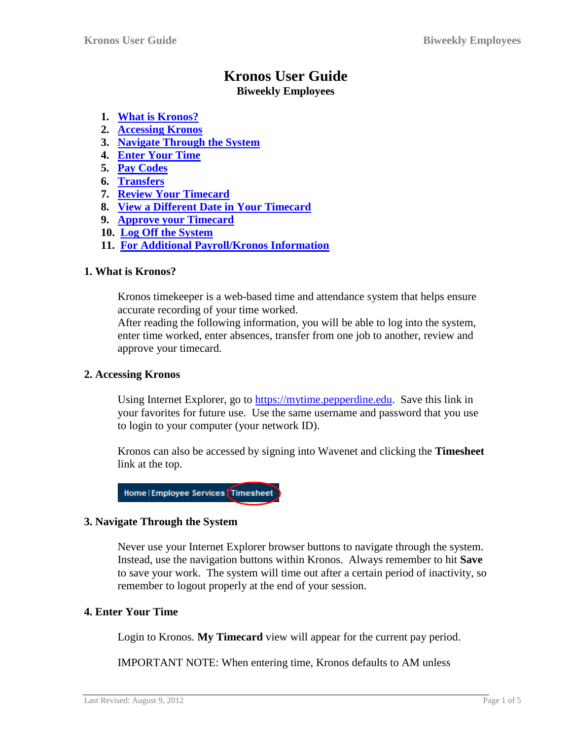# **Kronos User Guide**

## **Biweekly Employees**

- **1. [What is Kronos?](#page-0-0)**
- **2. [Accessing Kronos](#page-0-1)**
- **3. [Navigate Through the System](#page-0-2)**
- **4. [Enter Your Time](#page-0-3)**
- **5. [Pay Codes](#page-1-0)**
- **6. [Transfers](#page-2-0)**
- **7. [Review Your Timecard](#page-2-1)**
- **8. [View a Different Date in Your Timecard](#page-3-0)**
- **9. [Approve your Timecard](#page-3-1)**
- **10. Log Off [the System](#page-3-2)**
- **11. For Additional [Payroll/Kronos Information](#page-4-0)**

## <span id="page-0-0"></span>**1. What is Kronos?**

Kronos timekeeper is a web-based time and attendance system that helps ensure accurate recording of your time worked.

After reading the following information, you will be able to log into the system, enter time worked, enter absences, transfer from one job to another, review and approve your timecard.

## <span id="page-0-1"></span>**2. Accessing Kronos**

Using Internet Explorer, go to [https://mytime.pepperdine.edu.](https://mytime.pepperdine.edu/) Save this link in your favorites for future use. Use the same username and password that you use to login to your computer (your network ID).

Kronos can also be accessed by signing into Wavenet and clicking the **Timesheet** link at the top.

Home | Employee Services | Timesheet

## <span id="page-0-2"></span>**3. Navigate Through the System**

Never use your Internet Explorer browser buttons to navigate through the system. Instead, use the navigation buttons within Kronos. Always remember to hit **Save** to save your work. The system will time out after a certain period of inactivity, so remember to logout properly at the end of your session.

## <span id="page-0-3"></span>**4. Enter Your Time**

Login to Kronos. **My Timecard** view will appear for the current pay period.

IMPORTANT NOTE: When entering time, Kronos defaults to AM unless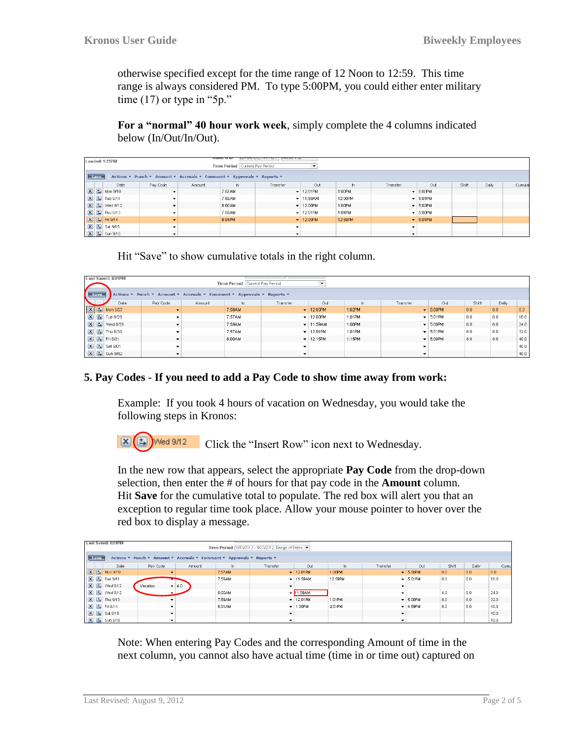otherwise specified except for the time range of 12 Noon to 12:59. This time range is always considered PM. To type 5:00PM, you could either enter military time  $(17)$  or type in "5p."

**For a "normal" 40 hour work week**, simply complete the 4 columns indicated below (In/Out/In/Out).

| Loaded: 1:23PM<br>Time Period   Current Pay Period                                   |                                                    |          |        |        |          |                                |         |          |                               |       |       |         |
|--------------------------------------------------------------------------------------|----------------------------------------------------|----------|--------|--------|----------|--------------------------------|---------|----------|-------------------------------|-------|-------|---------|
| Actions ▼ Punch ▼ Amount ▼ Accruals ▼ Comment ▼ Approvals ▼ Reports ▼<br><b>Save</b> |                                                    |          |        |        |          |                                |         |          |                               |       |       |         |
|                                                                                      | Date                                               | Pay Code | Amount | In.    | Transfer | Out                            | In.     | Transfer | Out                           | Shift | Daily | Cumulat |
|                                                                                      | $X$ $\overline{5}$ Mon 9/10                        |          |        | 7:57AM |          | $-12:01$ PM                    | 1:00PM  |          | $\blacktriangleright$ 5:00PM  |       |       |         |
|                                                                                      | $\boxed{\mathbf{X}}$ $\boxed{\mathbf{t}}$ Tue 9/11 |          |        | 7:59AM |          | $\blacktriangledown$   11:59AM | 12:00PM |          | $\blacktriangleright$ 5:01 PM |       |       |         |
|                                                                                      | $\boxed{\mathbf{X}}$ $\boxed{\mathbf{L}}$ Wed 9/12 |          |        | 8:00AM |          | $-12:00$ PM                    | 1:00PM  |          | $\blacktriangleright$ 5:02PM  |       |       |         |
|                                                                                      | $\boxed{\mathsf{x}}$ $\boxed{\mathsf{t}}$ Thu 9/13 |          |        | 7:59AM |          | $-12:01$ PM                    | 1:01PM  |          | $\blacktriangleright$ 5:00PM  |       |       |         |
|                                                                                      | $\boxed{X}$ $\boxed{5}$ Fri 9/14                   |          |        | 8:01PM |          | $\blacktriangledown$ 12:00PM   | 12:59PM |          | $\blacktriangleright$ 5:01PM  |       |       |         |
|                                                                                      | $\boxed{\mathsf{x}}$ $\boxed{\mathsf{t}}$ Sat 9/15 |          |        |        |          |                                |         |          |                               |       |       |         |
|                                                                                      | $X$ $\frac{1}{4}$ Sun 9/16                         |          |        |        |          |                                |         |          |                               |       |       |         |

Hit "Save" to show cumulative totals in the right column.

| Last Saved: 4:01PM<br>Time Period   Current Pay Period                        |                                                    |          |        |        |          |                               |        |          |                              |       |       |      |
|-------------------------------------------------------------------------------|----------------------------------------------------|----------|--------|--------|----------|-------------------------------|--------|----------|------------------------------|-------|-------|------|
| Save<br>Actions ▼ Punch ▼ Amount ▼ Accruals ▼ Comment ▼ Approvals ▼ Reports ▼ |                                                    |          |        |        |          |                               |        |          |                              |       |       |      |
|                                                                               | Date                                               | Pay Code | Amount | In.    | Transfer | Out                           | ln.    | Transfer | Out                          | Shift | Daily |      |
| $\boxed{2}$                                                                   | Mon 8/27                                           |          |        | 7:58AM |          | $\blacktriangleright$ 12:03PM | 1:02PM |          | $\blacktriangleright$ 5:00PM | 8.0   | 8.0   | 8.0  |
|                                                                               | 区 5 Tue 8/28                                       |          |        | 7:57AM |          | $-12:00$ PM                   | 1:01PM |          | $\blacktriangleright$ 5:01PM | (8.0) | 8.0   | 16.0 |
|                                                                               | $\boxed{\mathbf{X}}$ $\boxed{\mathbf{t}}$ Wed 8/29 |          |        | 7:59AM |          | $-$ 11:59AM                   | 1:00PM |          | $\blacktriangleright$ 5:00PM | 8.0   | 8.0   | 24.0 |
|                                                                               | $\boxed{\mathbf{X}}$ $\boxed{\mathbf{L}}$ Thu 8/30 |          |        | 7:57AM |          | $-12.01$ PM                   | 1:01PM |          | $\blacktriangleright$ 5:01PM | 8.0   | 8.0   | 32.0 |
|                                                                               | $X$ $5$ Fri 8/31                                   |          |        | 8:00AM |          | $-$ 12:15PM                   | 1:15PM |          | $\blacktriangledown$ 5:00PM  | 8.0   | 8.0   | 40.0 |
|                                                                               | $\boxed{\mathbf{X}}$ $\boxed{\mathbf{t}}$ Sat 9/01 |          |        |        |          |                               |        |          |                              |       |       | 40.0 |
|                                                                               | 区 5 Sun 9/02                                       |          |        |        |          |                               |        |          |                              |       |       | 40.0 |

#### <span id="page-1-0"></span>**5. Pay Codes - If you need to add a Pay Code to show time away from work:**

Example: If you took 4 hours of vacation on Wednesday, you would take the following steps in Kronos:

 $\overline{[X]}$  $\overline{[E]}$  Wed 9/12 Click the "Insert Row" icon next to Wednesday.

In the new row that appears, select the appropriate **Pay Code** from the drop-down selection, then enter the # of hours for that pay code in the **Amount** column. Hit **Save** for the cumulative total to populate. The red box will alert you that an exception to regular time took place. Allow your mouse pointer to hover over the red box to display a message.

|                           | Last Saved: 1:51PM<br>Time Period   9/10/2012 - 9/23/2012, Range of Dates ▼      |                       |                          |         |                          |                              |         |                          |                               |       |       |       |  |
|---------------------------|----------------------------------------------------------------------------------|-----------------------|--------------------------|---------|--------------------------|------------------------------|---------|--------------------------|-------------------------------|-------|-------|-------|--|
|                           | Actions ▼ Punch ▼ Amount ▼ Accruals ▼ Comment ▼ Approvals ▼ Reports ▼<br>Save    |                       |                          |         |                          |                              |         |                          |                               |       |       |       |  |
|                           | Date                                                                             | Pay Code              | Amount                   | In.     | Transfer                 | Out                          | $\ln$   | Transfer                 | Out                           | Shift | Daily | Cumul |  |
| $\boxed{\mathbf{x}}$<br>国 | Mon 9/10                                                                         |                       |                          | 7:57AM  |                          | $-1201$ PM                   | 1:00PM  | $\overline{\phantom{0}}$ | 5:00PM                        | 8.0   | 8.0   | 8.0   |  |
|                           | $\boxed{\mathbf{X}}$ $\boxed{\mathbf{t}}$ Tue 9/11                               |                       |                          | 7:59AM  |                          | $\blacktriangledown$ 11:59AM | 12:59PM |                          | $\blacktriangleright$ 5:01 PM | 8.0   | 8.0   | 16.0  |  |
|                           | $\boxed{\mathsf{x}}$ $\boxed{\mathsf{t}}$ Wed 9/12                               | Vacation              | $\blacktriangledown$ 4.0 |         | $\mathbf{r}$             |                              |         |                          |                               |       |       |       |  |
|                           | $\begin{array}{ c c c }\n\hline\nX & \downarrow \\ \hline\n\end{array}$ Wed 9/12 |                       |                          | 8:00AM  |                          | $- 11:59AM$                  |         |                          |                               | 4.0   | 8.0   | 24.0  |  |
|                           | $X$ $\frac{1}{2}$ Thu 9/13                                                       |                       |                          | 7:59AM  |                          | $-12:01$ PM                  | 1:01PM  |                          | $-$ 5:00PM                    | 8.0   | 8.0   | 32.0  |  |
|                           | 区 5 Fri 9/14                                                                     |                       |                          | 8:01 AM |                          | $-1:00PM$                    | 2:01PM  |                          | $-14:59PM$                    | 8.0   | 8.0   | 40.0  |  |
|                           | $X$ $\overline{L}$ Sat 9/15                                                      |                       |                          |         | $\check{}$               |                              |         |                          |                               |       |       | 40.0  |  |
|                           | $\boxed{\mathbf{X}}$ $\boxed{\mathbf{t}}$ Sun 9/16                               | $\tilde{\phantom{a}}$ |                          |         | $\overline{\phantom{a}}$ |                              |         | $\cdot$                  |                               |       |       | 40.0  |  |

Note: When entering Pay Codes and the corresponding Amount of time in the next column, you cannot also have actual time (time in or time out) captured on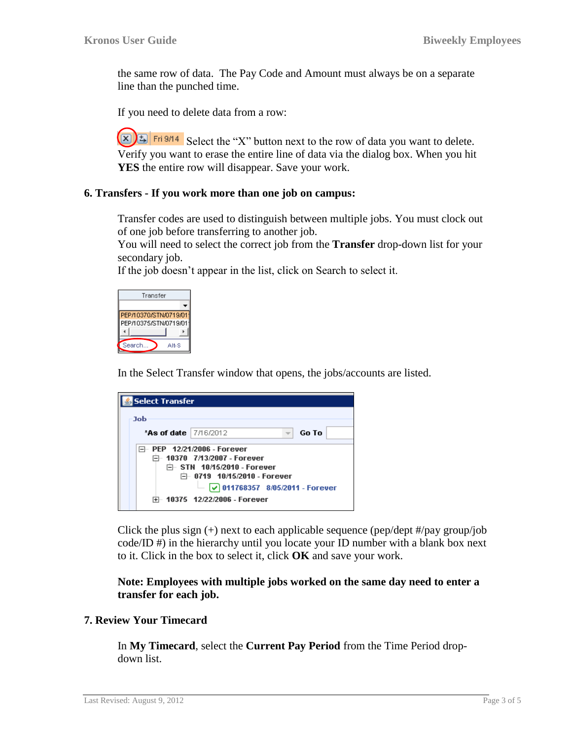the same row of data. The Pay Code and Amount must always be on a separate line than the punched time.

If you need to delete data from a row:

 $(\mathbf{x})$   $\mathbf{E}$   $\mathbf{F}$   $\mathbf{F}$   $\mathbf{F}$  and  $\mathbf{S}$  Select the "X" button next to the row of data you want to delete. Verify you want to erase the entire line of data via the dialog box. When you hit **YES** the entire row will disappear. Save your work.

#### <span id="page-2-0"></span>**6. Transfers - If you work more than one job on campus:**

Transfer codes are used to distinguish between multiple jobs. You must clock out of one job before transferring to another job.

You will need to select the correct job from the **Transfer** drop-down list for your secondary job.

If the job doesn't appear in the list, click on Search to select it.



In the Select Transfer window that opens, the jobs/accounts are listed.

| <b>Select Transfer</b>  |                                                                                                                                                                                                                 |  |  |  |  |  |  |
|-------------------------|-----------------------------------------------------------------------------------------------------------------------------------------------------------------------------------------------------------------|--|--|--|--|--|--|
| Job                     |                                                                                                                                                                                                                 |  |  |  |  |  |  |
| *As of date   7/16/2012 | Go To                                                                                                                                                                                                           |  |  |  |  |  |  |
|                         | PEP 12/21/2006 - Forever<br>户- 10370   7/13/2007 - Forever<br>□ STN 10/15/2010 - Forever<br>户 0719 10/15/2010 - Forever<br>$\vert$ $\checkmark$ 011768357 8/05/2011 - Forever<br>⊞- 10375  12/22/2006 - Forever |  |  |  |  |  |  |

Click the plus sign  $(+)$  next to each applicable sequence (pep/dept #/pay group/job code/ID #) in the hierarchy until you locate your ID number with a blank box next to it. Click in the box to select it, click **OK** and save your work.

**Note: Employees with multiple jobs worked on the same day need to enter a transfer for each job.**

#### <span id="page-2-1"></span>**7. Review Your Timecard**

In **My Timecard**, select the **Current Pay Period** from the Time Period dropdown list.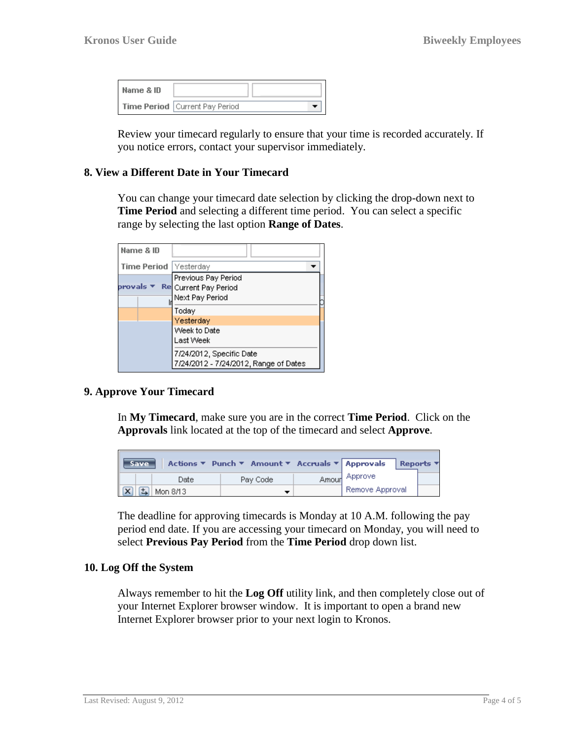| Name & ID |                                  |  |
|-----------|----------------------------------|--|
|           | Time Period   Current Pay Period |  |

Review your timecard regularly to ensure that your time is recorded accurately. If you notice errors, contact your supervisor immediately.

#### <span id="page-3-0"></span>**8. View a Different Date in Your Timecard**

You can change your timecard date selection by clicking the drop-down next to **Time Period** and selecting a different time period. You can select a specific range by selecting the last option **Range of Dates**.

| Name & ID               |                                       |  |
|-------------------------|---------------------------------------|--|
| Time Period   Yesterday |                                       |  |
|                         | Previous Pay Period                   |  |
| orovals                 | Re Current Pay Period                 |  |
|                         | Next Pay Period                       |  |
|                         | Today                                 |  |
|                         | Yesterday                             |  |
|                         | Week to Date                          |  |
|                         | Last Week                             |  |
|                         | 7/24/2012, Specific Date              |  |
|                         | 7/24/2012 - 7/24/2012, Range of Dates |  |

### <span id="page-3-1"></span>**9. Approve Your Timecard**

In **My Timecard**, make sure you are in the correct **Time Period**. Click on the **Approvals** link located at the top of the timecard and select **Approve**.

|                     | Save |          |  |          | Actions ▼ Punch ▼ Amount ▼ Accruals ▼ Approvals |                 | Reports |
|---------------------|------|----------|--|----------|-------------------------------------------------|-----------------|---------|
|                     |      | Date     |  | Pay Code |                                                 | Amour Approve   |         |
| $\sqrt{\mathbf{x}}$ | 뇌    | Mon 8/13 |  |          |                                                 | Remove Approval |         |

The deadline for approving timecards is Monday at 10 A.M. following the pay period end date. If you are accessing your timecard on Monday, you will need to select **Previous Pay Period** from the **Time Period** drop down list.

#### <span id="page-3-2"></span>**10. Log Off the System**

Always remember to hit the **Log Off** utility link, and then completely close out of your Internet Explorer browser window. It is important to open a brand new Internet Explorer browser prior to your next login to Kronos.